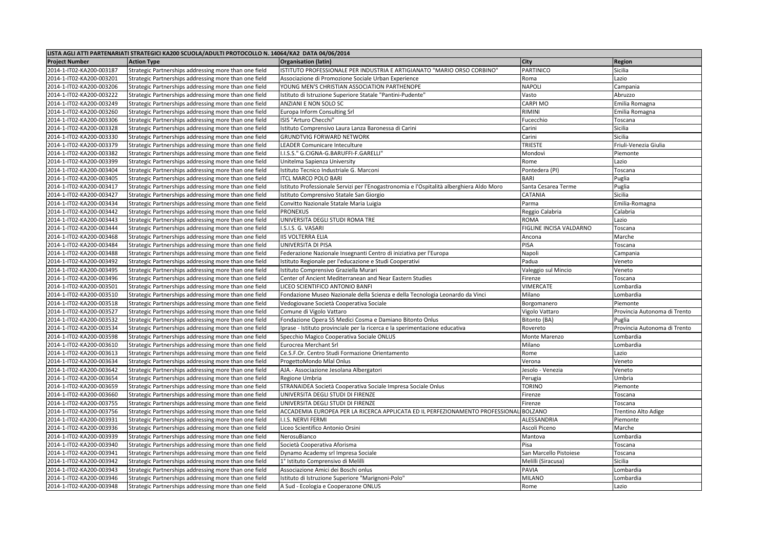| LISTA AGLI ATTI PARTENARIATI STRATEGICI KA200 SCUOLA/ADULTI PROTOCOLLO N. 14064/KA2 DATA 04/06/2014 |                                                       |                                                                                          |                         |                              |  |  |  |  |
|-----------------------------------------------------------------------------------------------------|-------------------------------------------------------|------------------------------------------------------------------------------------------|-------------------------|------------------------------|--|--|--|--|
| <b>Project Number</b>                                                                               | <b>Action Type</b>                                    | <b>Organisation (latin)</b>                                                              | <b>City</b>             | <b>Region</b>                |  |  |  |  |
| 2014-1-IT02-KA200-003187                                                                            | Strategic Partnerships addressing more than one field | ISTITUTO PROFESSIONALE PER INDUSTRIA E ARTIGIANATO "MARIO ORSO CORBINO"                  | PARTINICO               | Sicilia                      |  |  |  |  |
| 2014-1-IT02-KA200-003201                                                                            | Strategic Partnerships addressing more than one field | Associazione di Promozione Sociale Urban Experience                                      | Roma                    | Lazio                        |  |  |  |  |
| 2014-1-IT02-KA200-003206                                                                            | Strategic Partnerships addressing more than one field | YOUNG MEN'S CHRISTIAN ASSOCIATION PARTHENOPE                                             | <b>NAPOLI</b>           | Campania                     |  |  |  |  |
| 2014-1-IT02-KA200-003222                                                                            | Strategic Partnerships addressing more than one field | Istituto di Istruzione Superiore Statale "Pantini-Pudente"                               | Vasto                   | Abruzzo                      |  |  |  |  |
| 2014-1-IT02-KA200-003249                                                                            | Strategic Partnerships addressing more than one field | ANZIANI E NON SOLO SC                                                                    | <b>CARPI MO</b>         | Emilia Romagna               |  |  |  |  |
| 2014-1-IT02-KA200-003260                                                                            | Strategic Partnerships addressing more than one field | Europa Inform Consulting Srl                                                             | <b>RIMINI</b>           | Emilia Romagna               |  |  |  |  |
| 2014-1-IT02-KA200-003306                                                                            | Strategic Partnerships addressing more than one field | ISIS "Arturo Checchi"                                                                    | Fucecchio               | Toscana                      |  |  |  |  |
| 2014-1-IT02-KA200-003328                                                                            | Strategic Partnerships addressing more than one field | Istituto Comprensivo Laura Lanza Baronessa di Carini                                     | Carini                  | Sicilia                      |  |  |  |  |
| 2014-1-IT02-KA200-003330                                                                            | Strategic Partnerships addressing more than one field | <b>GRUNDTVIG FORWARD NETWORK</b>                                                         | Carini                  | Sicilia                      |  |  |  |  |
| 2014-1-IT02-KA200-003379                                                                            | Strategic Partnerships addressing more than one field | <b>LEADER Comunicare Inteculture</b>                                                     | <b>TRIESTE</b>          | Friuli-Venezia Giulia        |  |  |  |  |
| 2014-1-IT02-KA200-003382                                                                            | Strategic Partnerships addressing more than one field | I.I.S.S." G.CIGNA-G.BARUFFI-F.GARELLI"                                                   | Mondovì                 | Piemonte                     |  |  |  |  |
| 2014-1-IT02-KA200-003399                                                                            | Strategic Partnerships addressing more than one field | Unitelma Sapienza University                                                             | Rome                    | Lazio                        |  |  |  |  |
| 2014-1-IT02-KA200-003404                                                                            | Strategic Partnerships addressing more than one field | Istituto Tecnico Industriale G. Marconi                                                  | Pontedera (PI)          | Toscana                      |  |  |  |  |
| 2014-1-IT02-KA200-003405                                                                            | Strategic Partnerships addressing more than one field | <b>ITCL MARCO POLO BARI</b>                                                              | <b>BARI</b>             | Puglia                       |  |  |  |  |
| 2014-1-IT02-KA200-003417                                                                            | Strategic Partnerships addressing more than one field | Istituto Professionale Servizi per l'Enogastronomia e l'Ospitalità alberghiera Aldo Moro | Santa Cesarea Terme     | Puglia                       |  |  |  |  |
| 2014-1-IT02-KA200-003427                                                                            | Strategic Partnerships addressing more than one field | Istituto Comprensivo Statale San Giorgio                                                 | <b>CATANIA</b>          | Sicilia                      |  |  |  |  |
| 2014-1-IT02-KA200-003434                                                                            | Strategic Partnerships addressing more than one field | Convitto Nazionale Statale Maria Luigia                                                  | Parma                   | Emilia-Romagna               |  |  |  |  |
| 2014-1-IT02-KA200-003442                                                                            | Strategic Partnerships addressing more than one field | <b>PRONEXUS</b>                                                                          | Reggio Calabria         | Calabria                     |  |  |  |  |
| 2014-1-IT02-KA200-003443                                                                            | Strategic Partnerships addressing more than one field | UNIVERSITA DEGLI STUDI ROMA TRE                                                          | <b>ROMA</b>             | Lazio                        |  |  |  |  |
| 2014-1-IT02-KA200-003444                                                                            | Strategic Partnerships addressing more than one field | I.S.I.S. G. VASARI                                                                       | FIGLINE INCISA VALDARNO | Toscana                      |  |  |  |  |
| 2014-1-IT02-KA200-003468                                                                            | Strategic Partnerships addressing more than one field | <b>IIS VOLTERRA ELIA</b>                                                                 | Ancona                  | Marche                       |  |  |  |  |
| 2014-1-IT02-KA200-003484                                                                            | Strategic Partnerships addressing more than one field | UNIVERSITA DI PISA                                                                       | PISA                    | Toscana                      |  |  |  |  |
| 2014-1-IT02-KA200-003488                                                                            | Strategic Partnerships addressing more than one field | Federazione Nazionale Insegnanti Centro di iniziativa per l'Europa                       | Napoli                  | Campania                     |  |  |  |  |
| 2014-1-IT02-KA200-003492                                                                            | Strategic Partnerships addressing more than one field | Istituto Regionale per l'educazione e Studi Cooperativi                                  | Padua                   | Veneto                       |  |  |  |  |
| 2014-1-IT02-KA200-003495                                                                            | Strategic Partnerships addressing more than one field | Istituto Comprensivo Graziella Murari                                                    | Valeggio sul Mincio     | Veneto                       |  |  |  |  |
| 2014-1-IT02-KA200-003496                                                                            | Strategic Partnerships addressing more than one field | Center of Ancient Mediterranean and Near Eastern Studies                                 | Firenze                 | Toscana                      |  |  |  |  |
| 2014-1-IT02-KA200-003501                                                                            | Strategic Partnerships addressing more than one field | LICEO SCIENTIFICO ANTONIO BANFI                                                          | <b>VIMERCATE</b>        | Lombardia                    |  |  |  |  |
| 2014-1-IT02-KA200-003510                                                                            | Strategic Partnerships addressing more than one field | Fondazione Museo Nazionale della Scienza e della Tecnologia Leonardo da Vinci            | Milano                  | Lombardia                    |  |  |  |  |
| 2014-1-IT02-KA200-003518                                                                            | Strategic Partnerships addressing more than one field | Vedogiovane Società Cooperativa Sociale                                                  | Borgomanero             | Piemonte                     |  |  |  |  |
| 2014-1-IT02-KA200-003527                                                                            | Strategic Partnerships addressing more than one field | Comune di Vigolo Vattaro                                                                 | Vigolo Vattaro          | Provincia Autonoma di Trento |  |  |  |  |
| 2014-1-IT02-KA200-003532                                                                            | Strategic Partnerships addressing more than one field | Fondazione Opera SS Medici Cosma e Damiano Bitonto Onlus                                 | Bitonto (BA)            | Puglia                       |  |  |  |  |
| 2014-1-IT02-KA200-003534                                                                            | Strategic Partnerships addressing more than one field | Iprase - Istituto provinciale per la ricerca e la sperimentazione educativa              | Rovereto                | Provincia Autonoma di Trento |  |  |  |  |
| 2014-1-IT02-KA200-003598                                                                            | Strategic Partnerships addressing more than one field | Specchio Magico Cooperativa Sociale ONLUS                                                | Monte Marenzo           | Lombardia                    |  |  |  |  |
| 2014-1-IT02-KA200-003610                                                                            | Strategic Partnerships addressing more than one field | <b>Eurocrea Merchant Srl</b>                                                             | Milano                  | Lombardia                    |  |  |  |  |
| 2014-1-IT02-KA200-003613                                                                            | Strategic Partnerships addressing more than one field | Ce.S.F.Or. Centro Studi Formazione Orientamento                                          | Rome                    | Lazio                        |  |  |  |  |
| 2014-1-IT02-KA200-003634                                                                            | Strategic Partnerships addressing more than one field | ProgettoMondo Mlal Onlus                                                                 | Verona                  | Veneto                       |  |  |  |  |
| 2014-1-IT02-KA200-003642                                                                            | Strategic Partnerships addressing more than one field | AJA.- Associazione Jesolana Albergatori                                                  | Jesolo - Venezia        | Veneto                       |  |  |  |  |
| 2014-1-IT02-KA200-003654                                                                            | Strategic Partnerships addressing more than one field | Regione Umbria                                                                           | Perugia                 | Umbria                       |  |  |  |  |
| 2014-1-IT02-KA200-003659                                                                            | Strategic Partnerships addressing more than one field | STRANAIDEA Società Cooperativa Sociale Impresa Sociale Onlus                             | <b>TORINO</b>           | Piemonte                     |  |  |  |  |
| 2014-1-IT02-KA200-003660                                                                            | Strategic Partnerships addressing more than one field | UNIVERSITA DEGLI STUDI DI FIRENZE                                                        | Firenze                 | Toscana                      |  |  |  |  |
| 2014-1-IT02-KA200-003755                                                                            | Strategic Partnerships addressing more than one field | UNIVERSITA DEGLI STUDI DI FIRENZE                                                        | Firenze                 | Toscana                      |  |  |  |  |
| 2014-1-IT02-KA200-003756                                                                            | Strategic Partnerships addressing more than one field | ACCADEMIA EUROPEA PER LA RICERCA APPLICATA ED IL PERFEZIONAMENTO PROFESSIONAL            | BOLZANO                 | <b>Trentino Alto Adige</b>   |  |  |  |  |
| 2014-1-IT02-KA200-003931                                                                            | Strategic Partnerships addressing more than one field | I.I.S. NERVI FERMI                                                                       | ALESSANDRIA             | Piemonte                     |  |  |  |  |
| 2014-1-IT02-KA200-003936                                                                            | Strategic Partnerships addressing more than one field | Liceo Scientifico Antonio Orsini                                                         | Ascoli Piceno           | Marche                       |  |  |  |  |
| 2014-1-IT02-KA200-003939                                                                            | Strategic Partnerships addressing more than one field | NerosuBianco                                                                             | Mantova                 | Lombardia                    |  |  |  |  |
| 2014-1-IT02-KA200-003940                                                                            | Strategic Partnerships addressing more than one field | Società Cooperativa Aforisma                                                             | Pisa                    | Toscana                      |  |  |  |  |
| 2014-1-IT02-KA200-003941                                                                            | Strategic Partnerships addressing more than one field | Dynamo Academy srl Impresa Sociale                                                       | San Marcello Pistoiese  | Toscana                      |  |  |  |  |
| 2014-1-IT02-KA200-003942                                                                            | Strategic Partnerships addressing more than one field | 1° Istituto Comprensivo di Melilli                                                       | Melilli (Siracusa)      | Sicilia                      |  |  |  |  |
| 2014-1-IT02-KA200-003943                                                                            | Strategic Partnerships addressing more than one field | Associazione Amici dei Boschi onlus                                                      | PAVIA                   | Lombardia                    |  |  |  |  |
| 2014-1-IT02-KA200-003946                                                                            | Strategic Partnerships addressing more than one field | Istituto di Istruzione Superiore "Marignoni-Polo"                                        | MILANO                  | Lombardia                    |  |  |  |  |
| 2014-1-IT02-KA200-003948                                                                            | Strategic Partnerships addressing more than one field | A Sud - Ecologia e Cooperazone ONLUS                                                     | Rome                    | Lazio                        |  |  |  |  |
|                                                                                                     |                                                       |                                                                                          |                         |                              |  |  |  |  |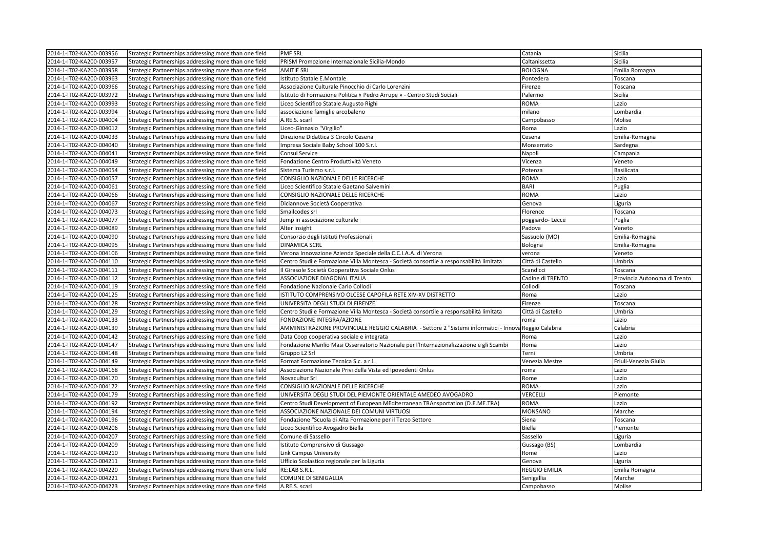| 2014-1-IT02-KA200-003956 | Strategic Partnerships addressing more than one field                                                          | <b>PMF SRL</b>                                                                                        | Catania              | Sicilia                      |
|--------------------------|----------------------------------------------------------------------------------------------------------------|-------------------------------------------------------------------------------------------------------|----------------------|------------------------------|
| 2014-1-IT02-KA200-003957 | Strategic Partnerships addressing more than one field                                                          | PRISM Promozione Internazionale Sicilia-Mondo                                                         | Caltanissetta        | Sicilia                      |
| 2014-1-IT02-KA200-003958 | Strategic Partnerships addressing more than one field                                                          | <b>AMITIE SRL</b>                                                                                     | <b>BOLOGNA</b>       | Emilia Romagna               |
| 2014-1-IT02-KA200-003963 | Strategic Partnerships addressing more than one field                                                          | Istituto Statale E.Montale                                                                            | Pontedera            | Toscana                      |
| 2014-1-IT02-KA200-003966 | Strategic Partnerships addressing more than one field                                                          | Associazione Culturale Pinocchio di Carlo Lorenzini                                                   | Firenze              | Toscana                      |
| 2014-1-IT02-KA200-003972 | Strategic Partnerships addressing more than one field                                                          | Istituto di Formazione Politica « Pedro Arrupe » - Centro Studi Sociali                               | Palermo              | Sicilia                      |
| 2014-1-IT02-KA200-003993 | Strategic Partnerships addressing more than one field                                                          | Liceo Scientifico Statale Augusto Righi                                                               | <b>ROMA</b>          | Lazio                        |
| 2014-1-IT02-KA200-003994 | Strategic Partnerships addressing more than one field                                                          | associazione famiglie arcobaleno                                                                      | milano               | Lombardia                    |
| 2014-1-IT02-KA200-004004 | Strategic Partnerships addressing more than one field                                                          | A.RE.S. scarl                                                                                         | Campobasso           | Molise                       |
| 2014-1-IT02-KA200-004012 | Strategic Partnerships addressing more than one field                                                          | Liceo-Ginnasio "Virgilio"                                                                             | Roma                 | Lazio                        |
| 2014-1-IT02-KA200-004033 | Strategic Partnerships addressing more than one field                                                          | Direzione Didattica 3 Circolo Cesena                                                                  | Cesena               | Emilia-Romagna               |
| 2014-1-IT02-KA200-004040 | Strategic Partnerships addressing more than one field                                                          | Impresa Sociale Baby School 100 S.r.l.                                                                | Monserrato           | Sardegna                     |
| 2014-1-IT02-KA200-004041 | Strategic Partnerships addressing more than one field                                                          | <b>Consul Service</b>                                                                                 | Napoli               | Campania                     |
| 2014-1-IT02-KA200-004049 | Strategic Partnerships addressing more than one field                                                          | Fondazione Centro Produttività Veneto                                                                 | Vicenza              | Veneto                       |
| 2014-1-IT02-KA200-004054 | Strategic Partnerships addressing more than one field                                                          | Sistema Turismo s.r.l.                                                                                | Potenza              | Basilicata                   |
| 2014-1-IT02-KA200-004057 | Strategic Partnerships addressing more than one field                                                          | CONSIGLIO NAZIONALE DELLE RICERCHE                                                                    | <b>ROMA</b>          | Lazio                        |
| 2014-1-IT02-KA200-004061 | Strategic Partnerships addressing more than one field                                                          | Liceo Scientifico Statale Gaetano Salvemini                                                           | <b>BARI</b>          | Puglia                       |
| 2014-1-IT02-KA200-004066 | Strategic Partnerships addressing more than one field                                                          | CONSIGLIO NAZIONALE DELLE RICERCHE                                                                    | <b>ROMA</b>          | Lazio                        |
| 2014-1-IT02-KA200-004067 | Strategic Partnerships addressing more than one field                                                          | Diciannove Società Cooperativa                                                                        | Genova               | Liguria                      |
| 2014-1-IT02-KA200-004073 | Strategic Partnerships addressing more than one field                                                          | Smallcodes srl                                                                                        | Florence             | Toscana                      |
| 2014-1-IT02-KA200-004077 | Strategic Partnerships addressing more than one field                                                          | Jump in associazione culturale                                                                        | poggiardo-Lecce      | Puglia                       |
| 2014-1-IT02-KA200-004089 | Strategic Partnerships addressing more than one field                                                          | Alter Insight                                                                                         | Padova               | Veneto                       |
| 2014-1-IT02-KA200-004090 | Strategic Partnerships addressing more than one field                                                          | Consorzio degli Istituti Professionali                                                                | Sassuolo (MO)        | Emilia-Romagna               |
| 2014-1-IT02-KA200-004095 | Strategic Partnerships addressing more than one field                                                          | <b>DINAMICA SCRL</b>                                                                                  | Bologna              | Emilia-Romagna               |
| 2014-1-IT02-KA200-004106 | Strategic Partnerships addressing more than one field                                                          | Verona Innovazione Azienda Speciale della C.C.I.A.A. di Verona                                        | verona               | Veneto                       |
| 2014-1-IT02-KA200-004110 | Strategic Partnerships addressing more than one field                                                          | Centro Studi e Formazione Villa Montesca - Società consortile a responsabilità limitata               | Città di Castello    | Umbria                       |
| 2014-1-IT02-KA200-004111 | Strategic Partnerships addressing more than one field                                                          | Il Girasole Società Cooperativa Sociale Onlus                                                         | Scandicci            | Toscana                      |
| 2014-1-IT02-KA200-004112 | Strategic Partnerships addressing more than one field                                                          | <b>ASSOCIAZIONE DIAGONAL ITALIA</b>                                                                   | Cadine di TRENTO     | Provincia Autonoma di Trento |
| 2014-1-IT02-KA200-004119 | Strategic Partnerships addressing more than one field                                                          | Fondazione Nazionale Carlo Collodi                                                                    | Collodi              | Toscana                      |
| 2014-1-IT02-KA200-004125 | Strategic Partnerships addressing more than one field                                                          | ISTITUTO COMPRENSIVO OLCESE CAPOFILA RETE XIV-XV DISTRETTO                                            | Roma                 | Lazio                        |
| 2014-1-IT02-KA200-004128 | Strategic Partnerships addressing more than one field                                                          | UNIVERSITA DEGLI STUDI DI FIRENZE                                                                     | Firenze              | Toscana                      |
| 2014-1-IT02-KA200-004129 | Strategic Partnerships addressing more than one field                                                          | Centro Studi e Formazione Villa Montesca - Società consortile a responsabilità limitata               | Città di Castello    | Umbria                       |
|                          | Strategic Partnerships addressing more than one field                                                          |                                                                                                       |                      |                              |
| 2014-1-IT02-KA200-004133 |                                                                                                                | FONDAZIONE INTEGRA/AZIONE                                                                             | roma                 | Lazio                        |
| 2014-1-IT02-KA200-004139 | Strategic Partnerships addressing more than one field<br>Strategic Partnerships addressing more than one field | AMMINISTRAZIONE PROVINCIALE REGGIO CALABRIA - Settore 2 "Sistemi informatici - Innova Reggio Calabria |                      | Calabria                     |
| 2014-1-IT02-KA200-004142 |                                                                                                                | Data Coop cooperativa sociale e integrata                                                             | Roma                 | Lazio                        |
| 2014-1-IT02-KA200-004147 | Strategic Partnerships addressing more than one field                                                          | Fondazione Manlio Masi Osservatorio Nazionale per l'Internazionalizzazione e gli Scambi               | Roma                 | Lazio                        |
| 2014-1-IT02-KA200-004148 | Strategic Partnerships addressing more than one field                                                          | Gruppo L2 Srl                                                                                         | Terni                | Umbria                       |
| 2014-1-IT02-KA200-004149 | Strategic Partnerships addressing more than one field                                                          | Format Formazione Tecnica S.c. a r.l.                                                                 | Venezia Mestre       | Friuli-Venezia Giulia        |
| 2014-1-IT02-KA200-004168 | Strategic Partnerships addressing more than one field                                                          | Associazione Nazionale Privi della Vista ed Ipovedenti Onlus                                          | roma                 | Lazio                        |
| 2014-1-IT02-KA200-004170 | Strategic Partnerships addressing more than one field                                                          | Novacultur Srl                                                                                        | Rome                 | Lazio                        |
| 2014-1-IT02-KA200-004172 | Strategic Partnerships addressing more than one field                                                          | CONSIGLIO NAZIONALE DELLE RICERCHE                                                                    | <b>ROMA</b>          | Lazio                        |
| 2014-1-IT02-KA200-004179 | Strategic Partnerships addressing more than one field                                                          | UNIVERSITA DEGLI STUDI DEL PIEMONTE ORIENTALE AMEDEO AVOGADRO                                         | <b>VERCELLI</b>      | Piemonte                     |
| 2014-1-IT02-KA200-004192 | Strategic Partnerships addressing more than one field                                                          | Centro Studi Development of European MEditerranean TRAnsportation (D.E.ME.TRA)                        | <b>ROMA</b>          | Lazio                        |
| 2014-1-IT02-KA200-004194 | Strategic Partnerships addressing more than one field                                                          | ASSOCIAZIONE NAZIONALE DEI COMUNI VIRTUOSI                                                            | <b>MONSANO</b>       | Marche                       |
| 2014-1-IT02-KA200-004196 | Strategic Partnerships addressing more than one field                                                          | Fondazione "Scuola di Alta Formazione per il Terzo Settore                                            | Siena                | Toscana                      |
| 2014-1-IT02-KA200-004206 | Strategic Partnerships addressing more than one field                                                          | Liceo Scientifico Avogadro Biella                                                                     | <b>Biella</b>        | Piemonte                     |
| 2014-1-IT02-KA200-004207 | Strategic Partnerships addressing more than one field                                                          | Comune di Sassello                                                                                    | Sassello             | Liguria                      |
| 2014-1-IT02-KA200-004209 | Strategic Partnerships addressing more than one field                                                          | Istituto Comprensivo di Gussago                                                                       | Gussago (BS)         | Lombardia                    |
| 2014-1-IT02-KA200-004210 | Strategic Partnerships addressing more than one field                                                          | Link Campus University                                                                                | Rome                 | Lazio                        |
| 2014-1-IT02-KA200-004211 | Strategic Partnerships addressing more than one field                                                          | Ufficio Scolastico regionale per la Liguria                                                           | Genova               | Liguria                      |
| 2014-1-IT02-KA200-004220 | Strategic Partnerships addressing more than one field                                                          | RE:LAB S.R.L.                                                                                         | <b>REGGIO EMILIA</b> | Emilia Romagna               |
| 2014-1-IT02-KA200-004221 | Strategic Partnerships addressing more than one field                                                          | <b>COMUNE DI SENIGALLIA</b>                                                                           | Senigallia           | Marche                       |
| 2014-1-IT02-KA200-004223 | Strategic Partnerships addressing more than one field                                                          | A.RE.S. scarl                                                                                         | Campobasso           | Molise                       |
|                          |                                                                                                                |                                                                                                       |                      |                              |